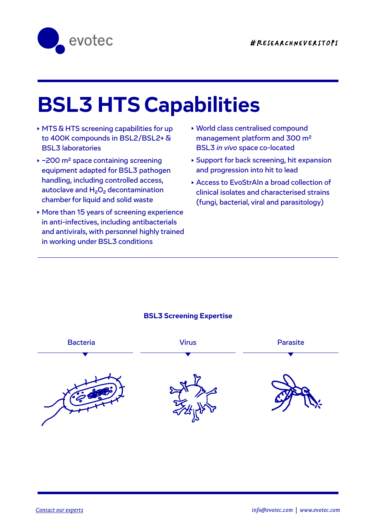

# **BSL3 HTS Capabilities**

▶ MTS & HTS screening capabilities for up to 400K compounds in BSL2/BSL2+ & BSL3 laboratories

 $A_{\rm eff}$  and  $A_{\rm eff}$  and  $A_{\rm eff}$  and  $A_{\rm eff}$  and  $A_{\rm eff}$  and  $A_{\rm eff}$ 

- ~200 m2 space containing screening equipment adapted for BSL3 pathogen handling, including controlled access, autoclave and  $H_2O_2$  decontamination chamber for liquid and solid waste
- More than 15 years of screening experience in anti-infectives, including antibacterials and antivirals, with personnel highly trained in working under BSL3 conditions
- World class centralised compound management platform and 300 m2 BSL3 *in vivo* space co-located
- Support for back screening, hit expansion and progression into hit to lead
- Access to EvoStrAIn a broad collection of clinical isolates and characterised strains (fungi, bacterial, viral and parasitology)

# **BSL3 Screening Expertise**